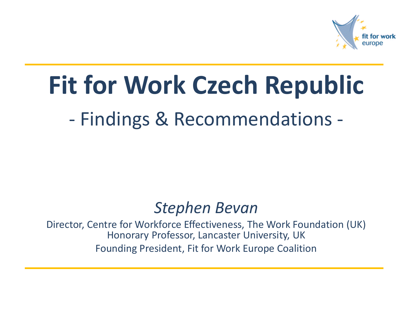

## **Fit for Work Czech Republic**

- Findings & Recommendations -

#### *Stephen Bevan*

Director, Centre for Workforce Effectiveness, The Work Foundation (UK) Honorary Professor, Lancaster University, UK Founding President, Fit for Work Europe Coalition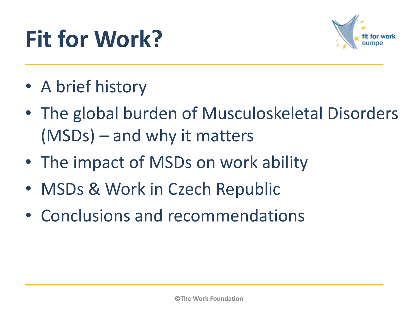# **Fit for Work?**



- A brief history
- The global burden of Musculoskeletal Disorders (MSDs) – and why it matters
- The impact of MSDs on work ability
- MSDs & Work in Czech Republic
- Conclusions and recommendations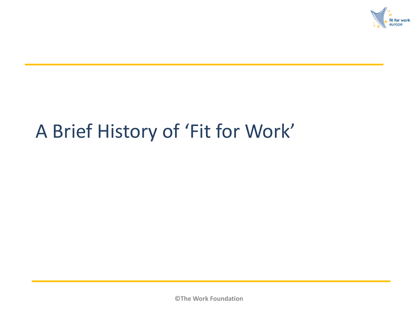

### A Brief History of 'Fit for Work'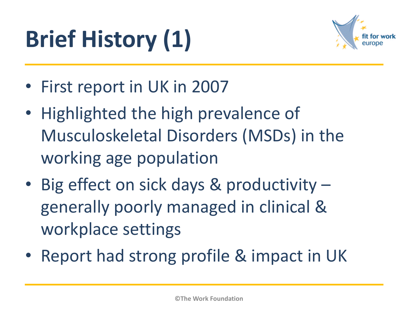# **Brief History (1)**



- First report in UK in 2007
- Highlighted the high prevalence of Musculoskeletal Disorders (MSDs) in the working age population
- Big effect on sick days & productivity generally poorly managed in clinical & workplace settings
- Report had strong profile & impact in UK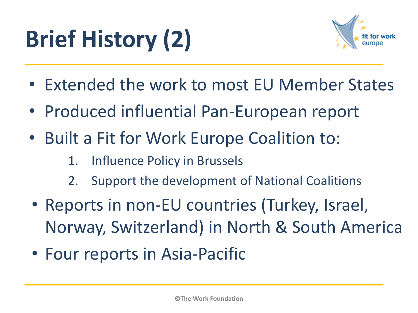# **Brief History (2)**



- Extended the work to most EU Member States
- Produced influential Pan-European report
- Built a Fit for Work Europe Coalition to:
	- 1. Influence Policy in Brussels
	- 2. Support the development of National Coalitions
- Reports in non-EU countries (Turkey, Israel, Norway, Switzerland) in North & South America
- Four reports in Asia-Pacific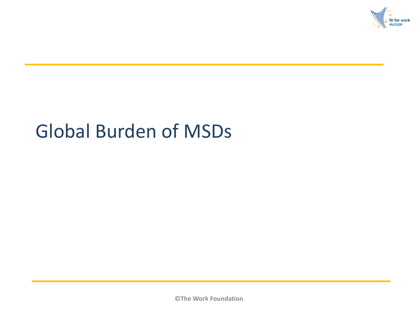

#### Global Burden of MSDs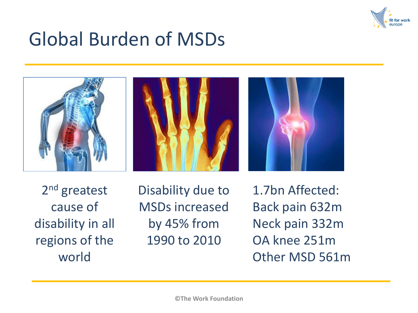

#### Global Burden of MSDs







2<sup>nd</sup> greatest cause of disability in all regions of the world

Disability due to MSDs increased by 45% from 1990 to 2010

1.7bn Affected: Back pain 632m Neck pain 332m OA knee 251m Other MSD 561m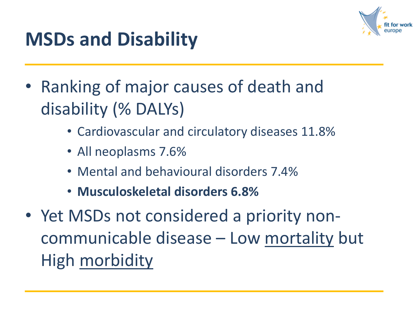

#### **MSDs and Disability**

- Ranking of major causes of death and disability (% DALYs)
	- Cardiovascular and circulatory diseases 11.8%
	- All neoplasms 7.6%
	- Mental and behavioural disorders 7.4%
	- **Musculoskeletal disorders 6.8%**
- Yet MSDs not considered a priority noncommunicable disease – Low mortality but High morbidity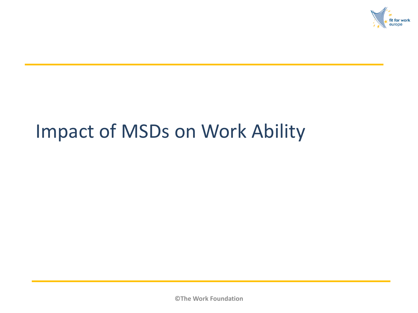

#### Impact of MSDs on Work Ability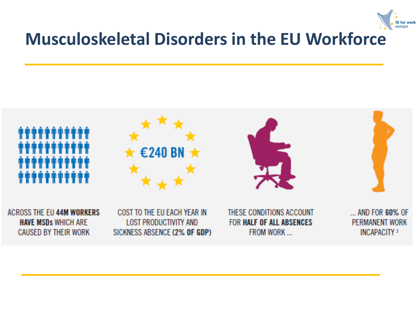

#### **Musculoskeletal Disorders in the EU Workforce**

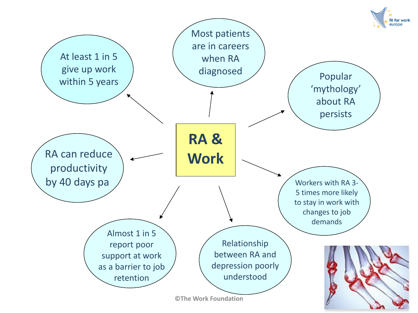

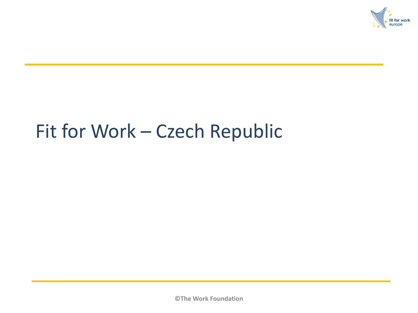

#### Fit for Work – Czech Republic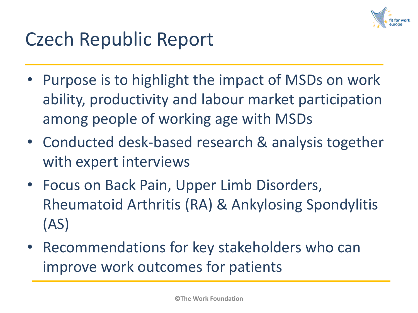

#### Czech Republic Report

- Purpose is to highlight the impact of MSDs on work ability, productivity and labour market participation among people of working age with MSDs
- Conducted desk-based research & analysis together with expert interviews
- Focus on Back Pain, Upper Limb Disorders, Rheumatoid Arthritis (RA) & Ankylosing Spondylitis (AS)
- Recommendations for key stakeholders who can improve work outcomes for patients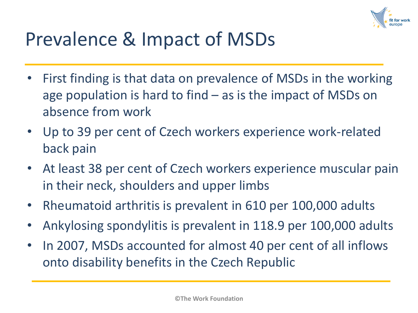

#### Prevalence & Impact of MSDs

- First finding is that data on prevalence of MSDs in the working age population is hard to find – as is the impact of MSDs on absence from work
- Up to 39 per cent of Czech workers experience work-related back pain
- At least 38 per cent of Czech workers experience muscular pain in their neck, shoulders and upper limbs
- Rheumatoid arthritis is prevalent in 610 per 100,000 adults
- Ankylosing spondylitis is prevalent in 118.9 per 100,000 adults
- In 2007, MSDs accounted for almost 40 per cent of all inflows onto disability benefits in the Czech Republic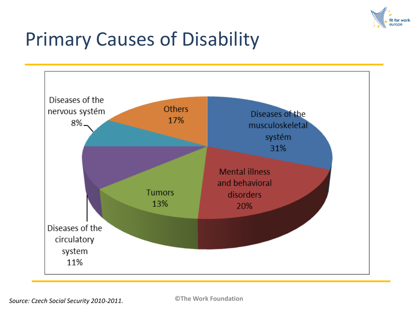

#### Primary Causes of Disability

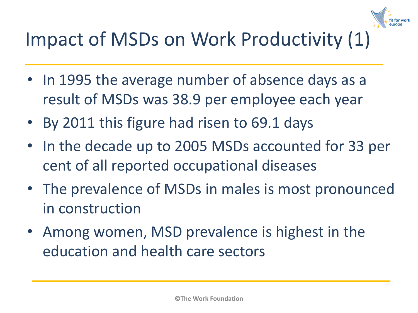

## Impact of MSDs on Work Productivity (1)

- In 1995 the average number of absence days as a result of MSDs was 38.9 per employee each year
- By 2011 this figure had risen to 69.1 days
- In the decade up to 2005 MSDs accounted for 33 per cent of all reported occupational diseases
- The prevalence of MSDs in males is most pronounced in construction
- Among women, MSD prevalence is highest in the education and health care sectors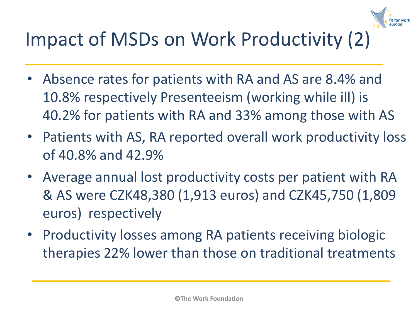

## Impact of MSDs on Work Productivity (2)

- Absence rates for patients with RA and AS are 8.4% and 10.8% respectively Presenteeism (working while ill) is 40.2% for patients with RA and 33% among those with AS
- Patients with AS, RA reported overall work productivity loss of 40.8% and 42.9%
- Average annual lost productivity costs per patient with RA & AS were CZK48,380 (1,913 euros) and CZK45,750 (1,809 euros) respectively
- Productivity losses among RA patients receiving biologic therapies 22% lower than those on traditional treatments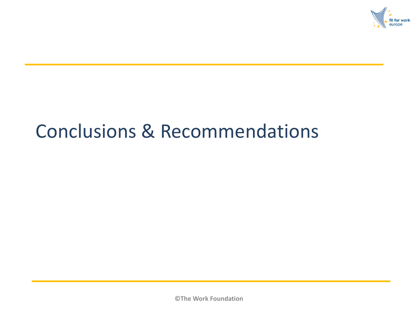

#### Conclusions & Recommendations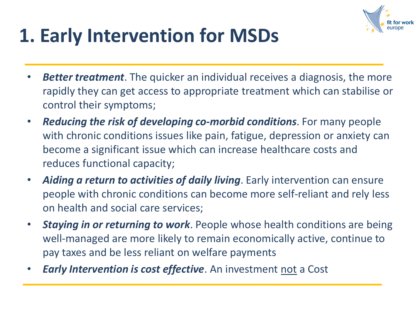

## **1. Early Intervention for MSDs**

- **Better treatment**. The quicker an individual receives a diagnosis, the more rapidly they can get access to appropriate treatment which can stabilise or control their symptoms;
- *Reducing the risk of developing co***-***morbid conditions*. For many people with chronic conditions issues like pain, fatigue, depression or anxiety can become a significant issue which can increase healthcare costs and reduces functional capacity;
- *Aiding a return to activities of daily living*. Early intervention can ensure people with chronic conditions can become more self-reliant and rely less on health and social care services;
- *Staying in or returning to work*. People whose health conditions are being well-managed are more likely to remain economically active, continue to pay taxes and be less reliant on welfare payments
- *Early Intervention is cost effective*. An investment not a Cost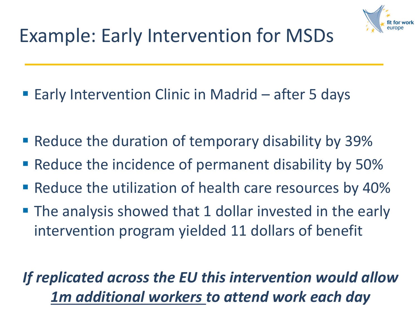

## Example: Early Intervention for MSDs

- Early Intervention Clinic in Madrid after 5 days
- **Reduce the duration of temporary disability by 39%**
- **Reduce the incidence of permanent disability by 50%**
- **Reduce the utilization of health care resources by 40%**
- **The analysis showed that 1 dollar invested in the early** intervention program yielded 11 dollars of benefit

#### *If replicated across the EU this intervention would allow 1m additional workers to attend work each day*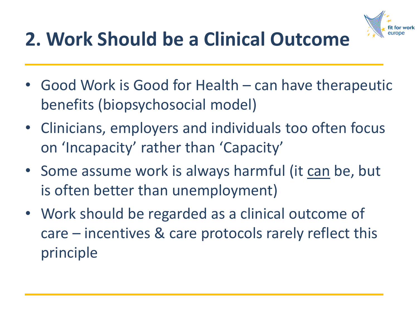

## **2. Work Should be a Clinical Outcome**

- Good Work is Good for Health can have therapeutic benefits (biopsychosocial model)
- Clinicians, employers and individuals too often focus on 'Incapacity' rather than 'Capacity'
- Some assume work is always harmful (it can be, but is often better than unemployment)
- Work should be regarded as a clinical outcome of care – incentives & care protocols rarely reflect this principle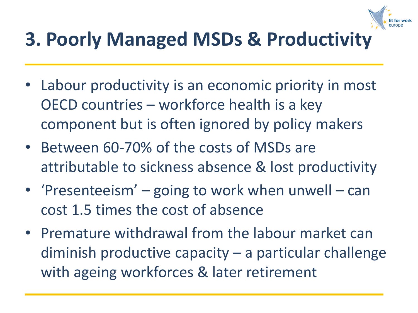

## **3. Poorly Managed MSDs & Productivity**

- Labour productivity is an economic priority in most OECD countries – workforce health is a key component but is often ignored by policy makers
- Between 60-70% of the costs of MSDs are attributable to sickness absence & lost productivity
- 'Presenteeism' going to work when unwell can cost 1.5 times the cost of absence
- Premature withdrawal from the labour market can diminish productive capacity – a particular challenge with ageing workforces & later retirement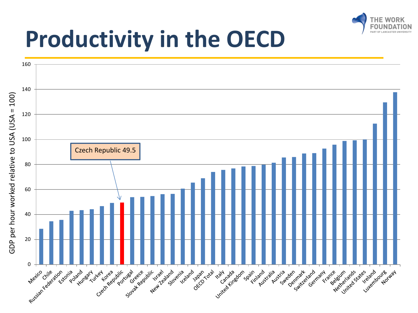

## **Productivity in the OECD**

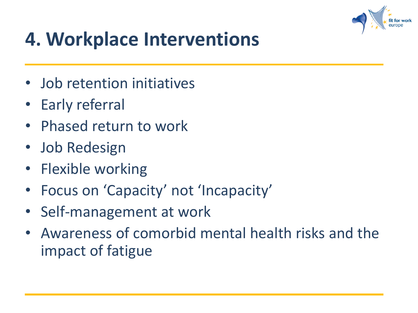

### **4. Workplace Interventions**

- Job retention initiatives
- Early referral
- Phased return to work
- Job Redesign
- Flexible working
- Focus on 'Capacity' not 'Incapacity'
- Self-management at work
- Awareness of comorbid mental health risks and the impact of fatigue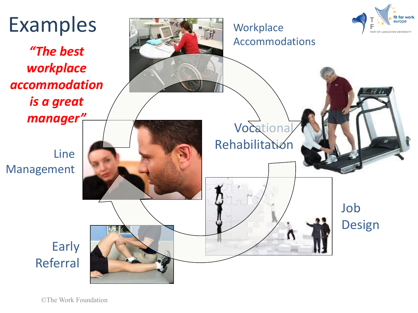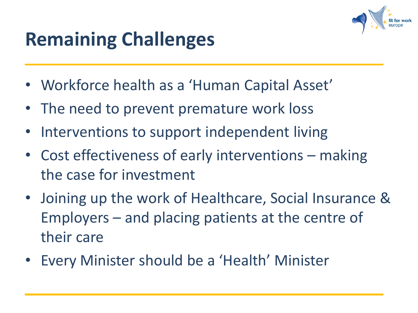![](_page_25_Picture_0.jpeg)

## **Remaining Challenges**

- Workforce health as a 'Human Capital Asset'
- The need to prevent premature work loss
- Interventions to support independent living
- Cost effectiveness of early interventions making the case for investment
- Joining up the work of Healthcare, Social Insurance & Employers – and placing patients at the centre of their care
- Every Minister should be a 'Health' Minister